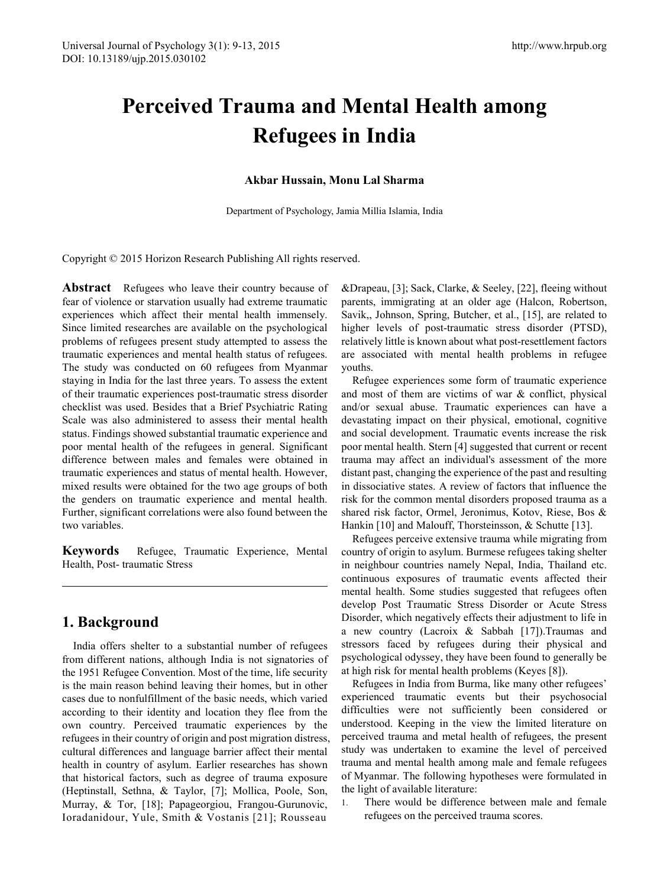# **Perceived Trauma and Mental Health among Refugees in India**

#### **Akbar Hussain, Monu Lal Sharma**

Department of Psychology, Jamia Millia Islamia, India

Copyright © 2015 Horizon Research Publishing All rights reserved.

**Abstract** Refugees who leave their country because of fear of violence or starvation usually had extreme traumatic experiences which affect their mental health immensely. Since limited researches are available on the psychological problems of refugees present study attempted to assess the traumatic experiences and mental health status of refugees. The study was conducted on 60 refugees from Myanmar staying in India for the last three years. To assess the extent of their traumatic experiences post-traumatic stress disorder checklist was used. Besides that a Brief Psychiatric Rating Scale was also administered to assess their mental health status. Findings showed substantial traumatic experience and poor mental health of the refugees in general. Significant difference between males and females were obtained in traumatic experiences and status of mental health. However, mixed results were obtained for the two age groups of both the genders on traumatic experience and mental health. Further, significant correlations were also found between the two variables.

**Keywords** Refugee, Traumatic Experience, Mental Health, Post- traumatic Stress

# **1. Background**

India offers shelter to a substantial number of refugees from different nations, although India is not signatories of the 1951 Refugee Convention. Most of the time, life security is the main reason behind leaving their homes, but in other cases due to nonfulfillment of the basic needs, which varied according to their identity and location they flee from the own country. Perceived traumatic experiences by the refugees in their country of origin and post migration distress, cultural differences and language barrier affect their mental health in country of asylum. Earlier researches has shown that historical factors, such as degree of trauma exposure (Heptinstall, Sethna, & Taylor, [7]; Mollica, Poole, Son, Murray, & Tor, [18]; Papageorgiou, Frangou-Gurunovic, Ioradanidour, Yule, Smith & Vostanis [21]; Rousseau

&Drapeau, [3]; Sack, Clarke, & Seeley, [22], fleeing without parents, immigrating at an older age (Halcon, Robertson, Savik,, Johnson, Spring, Butcher, et al., [15], are related to higher levels of post-traumatic stress disorder (PTSD), relatively little is known about what post-resettlement factors are associated with mental health problems in refugee youths.

Refugee experiences some form of traumatic experience and most of them are victims of war & conflict, physical and/or sexual abuse. Traumatic experiences can have a devastating impact on their physical, emotional, cognitive and social development. Traumatic events increase the risk poor mental health. Stern [4] suggested that current or recent trauma may affect an individual's assessment of the more distant past, changing the experience of the past and resulting in dissociative states. A review of factors that influence the risk for the common mental disorders proposed trauma as a shared risk factor, Ormel, Jeronimus, Kotov, Riese, Bos & Hankin [10] and Malouff, Thorsteinsson, & Schutte [13].

Refugees perceive extensive trauma while migrating from country of origin to asylum. Burmese refugees taking shelter in neighbour countries namely Nepal, India, Thailand etc. continuous exposures of traumatic events affected their mental health. Some studies suggested that refugees often develop Post Traumatic Stress Disorder or Acute Stress Disorder, which negatively effects their adjustment to life in a new country (Lacroix & Sabbah [17]).Traumas and stressors faced by refugees during their physical and psychological odyssey, they have been found to generally be at high risk for mental health problems (Keyes [8]).

Refugees in India from Burma, like many other refugees' experienced traumatic events but their psychosocial difficulties were not sufficiently been considered or understood. Keeping in the view the limited literature on perceived trauma and metal health of refugees, the present study was undertaken to examine the level of perceived trauma and mental health among male and female refugees of Myanmar. The following hypotheses were formulated in the light of available literature:

1. There would be difference between male and female refugees on the perceived trauma scores.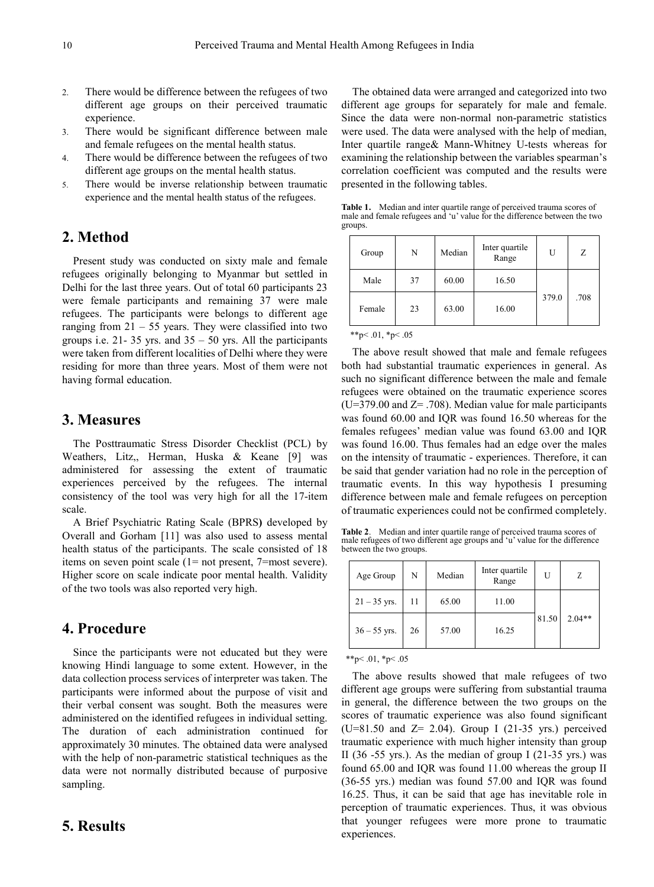- 2. There would be difference between the refugees of two different age groups on their perceived traumatic experience.
- 3. There would be significant difference between male and female refugees on the mental health status.
- 4. There would be difference between the refugees of two different age groups on the mental health status.
- 5. There would be inverse relationship between traumatic experience and the mental health status of the refugees.

# **2. Method**

Present study was conducted on sixty male and female refugees originally belonging to Myanmar but settled in Delhi for the last three years. Out of total 60 participants 23 were female participants and remaining 37 were male refugees. The participants were belongs to different age ranging from  $21 - 55$  years. They were classified into two groups i.e. 21-35 yrs. and  $35 - 50$  yrs. All the participants were taken from different localities of Delhi where they were residing for more than three years. Most of them were not having formal education.

## **3. Measures**

The Posttraumatic Stress Disorder Checklist (PCL) by Weathers, Litz,, Herman, Huska & Keane [9] was administered for assessing the extent of traumatic experiences perceived by the refugees. The internal consistency of the tool was very high for all the 17-item scale.

A Brief Psychiatric Rating Scale (BPRS**)** developed by Overall and Gorham [11] was also used to assess mental health status of the participants. The scale consisted of 18 items on seven point scale (1= not present, 7=most severe). Higher score on scale indicate poor mental health. Validity of the two tools was also reported very high.

#### **4. Procedure**

Since the participants were not educated but they were knowing Hindi language to some extent. However, in the data collection process services of interpreter was taken. The participants were informed about the purpose of visit and their verbal consent was sought. Both the measures were administered on the identified refugees in individual setting. The duration of each administration continued for approximately 30 minutes. The obtained data were analysed with the help of non-parametric statistical techniques as the data were not normally distributed because of purposive sampling.

#### **5. Results**

The obtained data were arranged and categorized into two different age groups for separately for male and female. Since the data were non-normal non-parametric statistics were used. The data were analysed with the help of median, Inter quartile range& Mann-Whitney U-tests whereas for examining the relationship between the variables spearman's correlation coefficient was computed and the results were presented in the following tables.

**Table 1.** Median and inter quartile range of perceived trauma scores of male and female refugees and 'u' value for the difference between the two groups.

| Group  | N  | Median | Inter quartile<br>Range | U     | Z    |
|--------|----|--------|-------------------------|-------|------|
| Male   | 37 | 60.00  | 16.50                   |       |      |
| Female | 23 | 63.00  | 16.00                   | 379.0 | .708 |

\*\*p<.01, \*p<.05

The above result showed that male and female refugees both had substantial traumatic experiences in general. As such no significant difference between the male and female refugees were obtained on the traumatic experience scores  $(U=379.00$  and  $Z=$  .708). Median value for male participants was found 60.00 and IQR was found 16.50 whereas for the females refugees' median value was found 63.00 and IQR was found 16.00. Thus females had an edge over the males on the intensity of traumatic - experiences. Therefore, it can be said that gender variation had no role in the perception of traumatic events. In this way hypothesis I presuming difference between male and female refugees on perception of traumatic experiences could not be confirmed completely.

**Table 2**. Median and inter quartile range of perceived trauma scores of male refugees of two different age groups and 'u' value for the difference between the two groups.

| Age Group      | N  | Median | Inter quartile<br>Range | I۱    | Z        |
|----------------|----|--------|-------------------------|-------|----------|
| $21 - 35$ yrs. | 11 | 65.00  | 11.00                   |       |          |
| $36 - 55$ yrs. | 26 | 57.00  | 16.25                   | 81.50 | $2.04**$ |

 $*$  $p < .01$ ,  $p < .05$ 

The above results showed that male refugees of two different age groups were suffering from substantial trauma in general, the difference between the two groups on the scores of traumatic experience was also found significant (U=81.50 and Z= 2.04). Group I (21-35 yrs.) perceived traumatic experience with much higher intensity than group II (36 -55 yrs.). As the median of group I (21-35 yrs.) was found 65.00 and IQR was found 11.00 whereas the group II (36-55 yrs.) median was found 57.00 and IQR was found 16.25. Thus, it can be said that age has inevitable role in perception of traumatic experiences. Thus, it was obvious that younger refugees were more prone to traumatic experiences.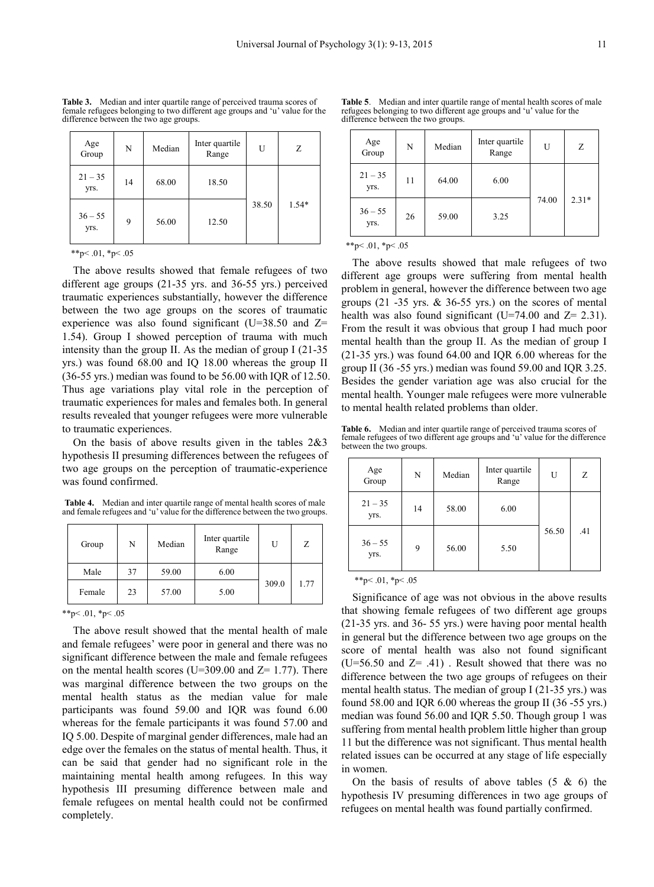**Table 3.** Median and inter quartile range of perceived trauma scores of female refugees belonging to two different age groups and 'u' value for the difference between the two age groups.

| Age<br>Group      | N  | Median | Inter quartile<br>Range | U     | Z       |
|-------------------|----|--------|-------------------------|-------|---------|
| $21 - 35$<br>yrs. | 14 | 68.00  | 18.50                   |       |         |
| $36 - 55$<br>yrs. | 9  | 56.00  | 12.50                   | 38.50 | $1.54*$ |

\*\*p<.01, \*p<.05

The above results showed that female refugees of two different age groups (21-35 yrs. and 36-55 yrs.) perceived traumatic experiences substantially, however the difference between the two age groups on the scores of traumatic experience was also found significant (U=38.50 and Z= 1.54). Group I showed perception of trauma with much intensity than the group II. As the median of group I (21-35 yrs.) was found 68.00 and IQ 18.00 whereas the group II (36-55 yrs.) median was found to be 56.00 with IQR of 12.50. Thus age variations play vital role in the perception of traumatic experiences for males and females both. In general results revealed that younger refugees were more vulnerable to traumatic experiences.

On the basis of above results given in the tables 2&3 hypothesis II presuming differences between the refugees of two age groups on the perception of traumatic-experience was found confirmed.

**Table 4.** Median and inter quartile range of mental health scores of male and female refugees and 'u' value for the difference between the two groups.

| Group  | N  | Median | Inter quartile<br>Range | U     | Ζ    |
|--------|----|--------|-------------------------|-------|------|
| Male   | 37 | 59.00  | 6.00                    |       |      |
| Female | 23 | 57.00  | 5.00                    | 309.0 | 1.77 |

\*\*p<.01, \*p<.05

The above result showed that the mental health of male and female refugees' were poor in general and there was no significant difference between the male and female refugees on the mental health scores (U=309.00 and  $Z= 1.77$ ). There was marginal difference between the two groups on the mental health status as the median value for male participants was found 59.00 and IQR was found 6.00 whereas for the female participants it was found 57.00 and IQ 5.00. Despite of marginal gender differences, male had an edge over the females on the status of mental health. Thus, it can be said that gender had no significant role in the maintaining mental health among refugees. In this way hypothesis III presuming difference between male and female refugees on mental health could not be confirmed completely.

**Table 5**. Median and inter quartile range of mental health scores of male refugees belonging to two different age groups and 'u' value for the difference between the two groups.

| Age<br>Group      | N  | Median | Inter quartile<br>Range | U     | Ζ       |
|-------------------|----|--------|-------------------------|-------|---------|
| $21 - 35$<br>yrs. | 11 | 64.00  | 6.00                    |       |         |
| $36 - 55$<br>yrs. | 26 | 59.00  | 3.25                    | 74.00 | $2.31*$ |

 $*_{p}$  < .01,  $*_{p}$  < .05

The above results showed that male refugees of two different age groups were suffering from mental health problem in general, however the difference between two age groups (21 -35 yrs. & 36-55 yrs.) on the scores of mental health was also found significant (U=74.00 and  $Z= 2.31$ ). From the result it was obvious that group I had much poor mental health than the group II. As the median of group I (21-35 yrs.) was found 64.00 and IQR 6.00 whereas for the group II (36 -55 yrs.) median was found 59.00 and IQR 3.25. Besides the gender variation age was also crucial for the mental health. Younger male refugees were more vulnerable to mental health related problems than older.

**Table 6.** Median and inter quartile range of perceived trauma scores of female refugees of two different age groups and 'u' value for the difference between the two groups.

| Age<br>Group      | N  | Median | Inter quartile<br>Range | U     | Ζ   |
|-------------------|----|--------|-------------------------|-------|-----|
| $21 - 35$<br>yrs. | 14 | 58.00  | 6.00                    |       |     |
| $36 - 55$<br>yrs. | 9  | 56.00  | 5.50                    | 56.50 | .41 |

\*\*p $< 0.01$ , \*p $< 0.05$ 

Significance of age was not obvious in the above results that showing female refugees of two different age groups (21-35 yrs. and 36- 55 yrs.) were having poor mental health in general but the difference between two age groups on the score of mental health was also not found significant  $(U=56.50$  and  $Z= .41)$ . Result showed that there was no difference between the two age groups of refugees on their mental health status. The median of group I (21-35 yrs.) was found 58.00 and IQR 6.00 whereas the group II (36 -55 yrs.) median was found 56.00 and IQR 5.50. Though group 1 was suffering from mental health problem little higher than group 11 but the difference was not significant. Thus mental health related issues can be occurred at any stage of life especially in women.

On the basis of results of above tables  $(5 \& 6)$  the hypothesis IV presuming differences in two age groups of refugees on mental health was found partially confirmed.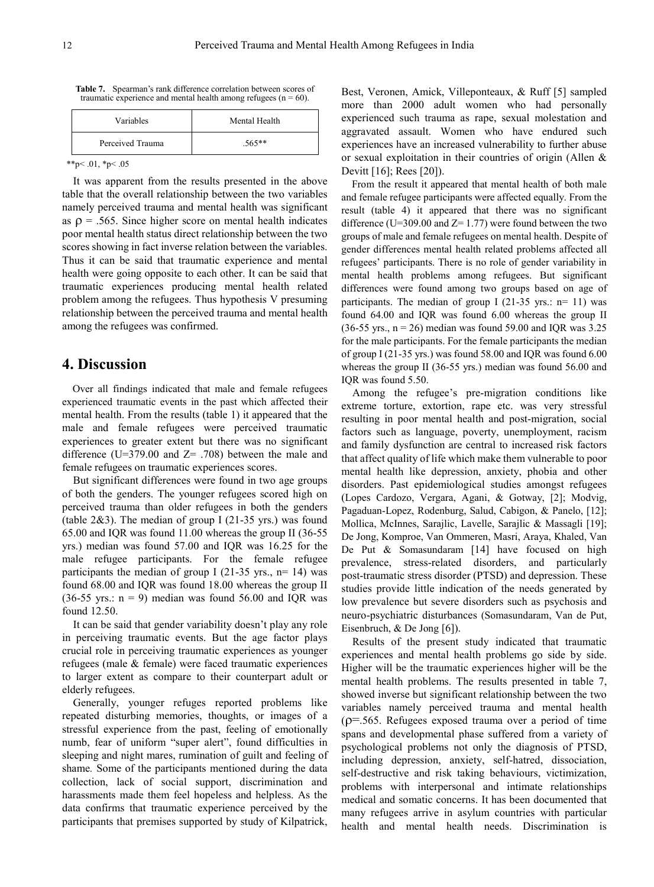**Table 7.** Spearman's rank difference correlation between scores of traumatic experience and mental health among refugees  $(n = 60)$ .

| Variables        | Mental Health |  |
|------------------|---------------|--|
| Perceived Trauma | $.565**$      |  |

 $*$  $p$  < .01,  $*$  $p$  < .05

It was apparent from the results presented in the above table that the overall relationship between the two variables namely perceived trauma and mental health was significant as  $\rho = .565$ . Since higher score on mental health indicates poor mental health status direct relationship between the two scores showing in fact inverse relation between the variables. Thus it can be said that traumatic experience and mental health were going opposite to each other. It can be said that traumatic experiences producing mental health related problem among the refugees. Thus hypothesis V presuming relationship between the perceived trauma and mental health among the refugees was confirmed.

### **4. Discussion**

Over all findings indicated that male and female refugees experienced traumatic events in the past which affected their mental health. From the results (table 1) it appeared that the male and female refugees were perceived traumatic experiences to greater extent but there was no significant difference (U=379.00 and  $Z = .708$ ) between the male and female refugees on traumatic experiences scores.

But significant differences were found in two age groups of both the genders. The younger refugees scored high on perceived trauma than older refugees in both the genders (table  $2\&3$ ). The median of group I (21-35 yrs.) was found 65.00 and IQR was found 11.00 whereas the group II (36-55 yrs.) median was found 57.00 and IQR was 16.25 for the male refugee participants. For the female refugee participants the median of group I (21-35 yrs.,  $n=14$ ) was found 68.00 and IQR was found 18.00 whereas the group II  $(36-55 \text{ yrs.} : n = 9)$  median was found 56.00 and IQR was found 12.50.

It can be said that gender variability doesn't play any role in perceiving traumatic events. But the age factor plays crucial role in perceiving traumatic experiences as younger refugees (male & female) were faced traumatic experiences to larger extent as compare to their counterpart adult or elderly refugees.

Generally, younger refuges reported problems like repeated disturbing memories, thoughts, or images of a stressful experience from the past, feeling of emotionally numb, fear of uniform "super alert", found difficulties in sleeping and night mares, rumination of guilt and feeling of shame*.* Some of the participants mentioned during the data collection, lack of social support, discrimination and harassments made them feel hopeless and helpless. As the data confirms that traumatic experience perceived by the participants that premises supported by study of Kilpatrick,

Best, Veronen, Amick, Villeponteaux, & Ruff [5] sampled more than 2000 adult women who had personally experienced such trauma as rape, sexual molestation and aggravated assault. Women who have endured such experiences have an increased vulnerability to further abuse or sexual exploitation in their countries of origin (Allen & Devitt [16]; Rees [20]).

From the result it appeared that mental health of both male and female refugee participants were affected equally. From the result (table 4) it appeared that there was no significant difference (U=309.00 and  $Z=1.77$ ) were found between the two groups of male and female refugees on mental health. Despite of gender differences mental health related problems affected all refugees' participants. There is no role of gender variability in mental health problems among refugees. But significant differences were found among two groups based on age of participants. The median of group I  $(21-35 \text{ yrs.})$ : n= 11) was found 64.00 and IQR was found 6.00 whereas the group II  $(36-55 \text{ yrs.}, n = 26)$  median was found 59.00 and IQR was 3.25 for the male participants. For the female participants the median of group I (21-35 yrs.) was found 58.00 and IQR was found 6.00 whereas the group II (36-55 yrs.) median was found 56.00 and IQR was found 5.50.

Among the refugee's pre-migration conditions like extreme torture, extortion, rape etc. was very stressful resulting in poor mental health and post-migration, social factors such as language, poverty, unemployment, racism and family dysfunction are central to increased risk factors that affect quality of life which make them vulnerable to poor mental health like depression, anxiety, phobia and other disorders. Past epidemiological studies amongst refugees (Lopes Cardozo, Vergara, Agani, & Gotway, [2]; Modvig, Pagaduan-Lopez, Rodenburg, Salud, Cabigon, & Panelo, [12]; Mollica, McInnes, Sarajlic, Lavelle, Sarajlic & Massagli [19]; De Jong, Komproe, Van Ommeren, Masri, Araya, Khaled, Van De Put & Somasundaram [14] have focused on high prevalence, stress-related disorders, and particularly post-traumatic stress disorder (PTSD) and depression. These studies provide little indication of the needs generated by low prevalence but severe disorders such as psychosis and neuro-psychiatric disturbances (Somasundaram, Van de Put, Eisenbruch, & De Jong [6]).

Results of the present study indicated that traumatic experiences and mental health problems go side by side. Higher will be the traumatic experiences higher will be the mental health problems. The results presented in table 7, showed inverse but significant relationship between the two variables namely perceived trauma and mental health  $(p=0.565)$ . Refugees exposed trauma over a period of time spans and developmental phase suffered from a variety of psychological problems not only the diagnosis of PTSD, including depression, anxiety, self-hatred, dissociation, self-destructive and risk taking behaviours, victimization, problems with interpersonal and intimate relationships medical and somatic concerns. It has been documented that many refugees arrive in asylum countries with particular health and mental health needs. Discrimination is